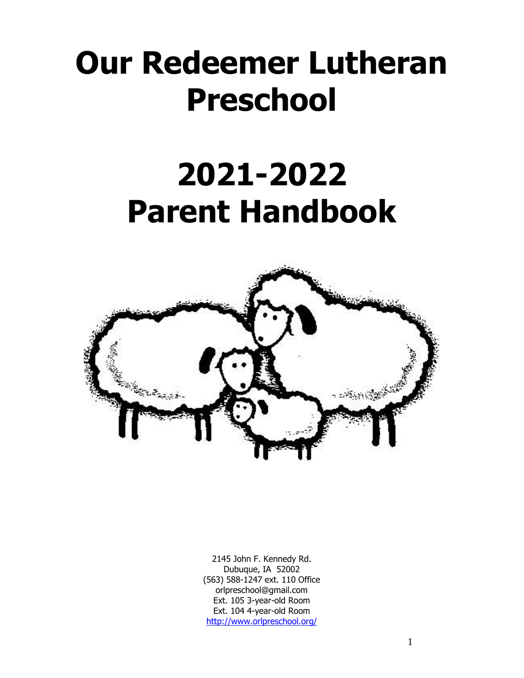# **Our Redeemer Lutheran Preschool**

# **2021-2022 Parent Handbook**



2145 John F. Kennedy Rd. Dubuque, IA 52002 (563) 588-1247 ext. 110 Office orlpreschool@gmail.com Ext. 105 3-year-old Room Ext. 104 4-year-old Room <http://www.orlpreschool.org/>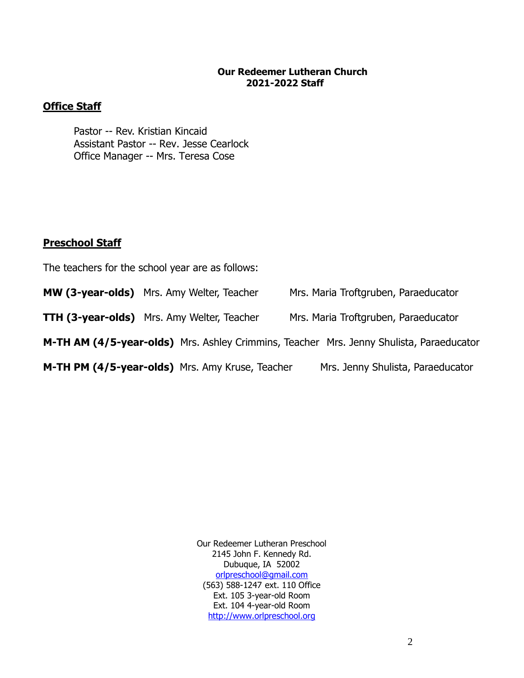## **Our Redeemer Lutheran Church 2021-2022 Staff**

# **Office Staff**

Pastor -- Rev. Kristian Kincaid Assistant Pastor -- Rev. Jesse Cearlock Office Manager -- Mrs. Teresa Cose

## **Preschool Staff**

The teachers for the school year are as follows:

**MW (3-year-olds)** Mrs. Amy Welter, Teacher Mrs. Maria Troftgruben, Paraeducator

**TTH (3-year-olds)** Mrs. Amy Welter, Teacher Mrs. Maria Troftgruben, Paraeducator

**M-TH AM (4/5-year-olds)** Mrs. Ashley Crimmins, Teacher Mrs. Jenny Shulista, Paraeducator

**M-TH PM (4/5-year-olds)** Mrs. Amy Kruse, Teacher Mrs. Jenny Shulista, Paraeducator

Our Redeemer Lutheran Preschool 2145 John F. Kennedy Rd. Dubuque, IA 52002 [orlpreschool@gmail.com](mailto:orlpreschool@gmail.com) (563) 588-1247 ext. 110 Office Ext. 105 3-year-old Room Ext. 104 4-year-old Room [http://www.orlpreschool.org](http://www.orlpreschool.org/)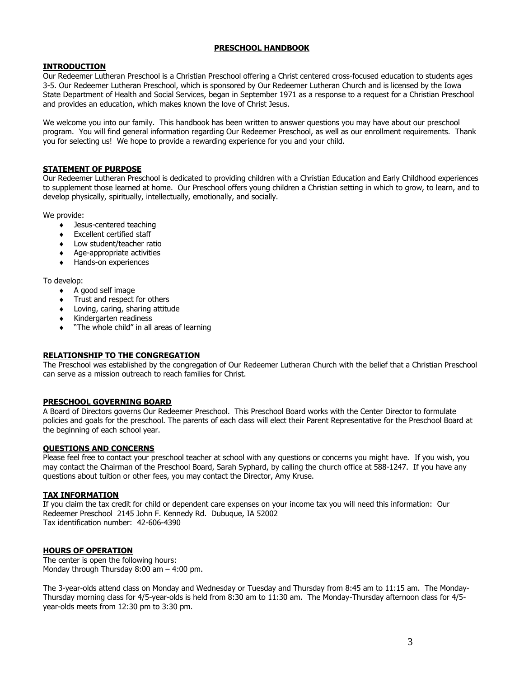## **PRESCHOOL HANDBOOK**

## **INTRODUCTION**

Our Redeemer Lutheran Preschool is a Christian Preschool offering a Christ centered cross-focused education to students ages 3-5. Our Redeemer Lutheran Preschool, which is sponsored by Our Redeemer Lutheran Church and is licensed by the Iowa State Department of Health and Social Services, began in September 1971 as a response to a request for a Christian Preschool and provides an education, which makes known the love of Christ Jesus.

We welcome you into our family. This handbook has been written to answer questions you may have about our preschool program. You will find general information regarding Our Redeemer Preschool, as well as our enrollment requirements. Thank you for selecting us! We hope to provide a rewarding experience for you and your child.

#### **STATEMENT OF PURPOSE**

Our Redeemer Lutheran Preschool is dedicated to providing children with a Christian Education and Early Childhood experiences to supplement those learned at home. Our Preschool offers young children a Christian setting in which to grow, to learn, and to develop physically, spiritually, intellectually, emotionally, and socially.

We provide:

- Jesus-centered teaching
- **Excellent certified staff**
- Low student/teacher ratio
- Age-appropriate activities
- Hands-on experiences

To develop:

- A good self image
- Trust and respect for others
- Loving, caring, sharing attitude
- Kindergarten readiness
- "The whole child" in all areas of learning

## **RELATIONSHIP TO THE CONGREGATION**

The Preschool was established by the congregation of Our Redeemer Lutheran Church with the belief that a Christian Preschool can serve as a mission outreach to reach families for Christ.

## **PRESCHOOL GOVERNING BOARD**

A Board of Directors governs Our Redeemer Preschool. This Preschool Board works with the Center Director to formulate policies and goals for the preschool. The parents of each class will elect their Parent Representative for the Preschool Board at the beginning of each school year.

#### **QUESTIONS AND CONCERNS**

Please feel free to contact your preschool teacher at school with any questions or concerns you might have. If you wish, you may contact the Chairman of the Preschool Board, Sarah Syphard, by calling the church office at 588-1247. If you have any questions about tuition or other fees, you may contact the Director, Amy Kruse.

#### **TAX INFORMATION**

If you claim the tax credit for child or dependent care expenses on your income tax you will need this information: Our Redeemer Preschool 2145 John F. Kennedy Rd. Dubuque, IA 52002 Tax identification number: 42-606-4390

## **HOURS OF OPERATION**

The center is open the following hours: Monday through Thursday 8:00 am – 4:00 pm.

The 3-year-olds attend class on Monday and Wednesday or Tuesday and Thursday from 8:45 am to 11:15 am. The Monday-Thursday morning class for 4/5-year-olds is held from 8:30 am to 11:30 am. The Monday-Thursday afternoon class for 4/5 year-olds meets from 12:30 pm to 3:30 pm.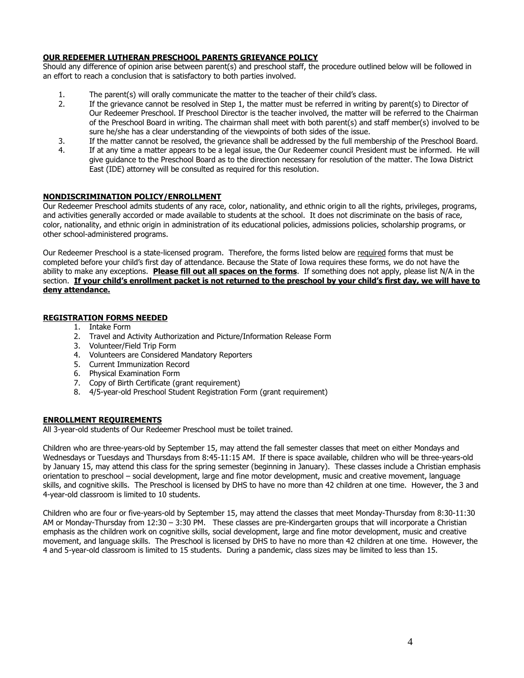## **OUR REDEEMER LUTHERAN PRESCHOOL PARENTS GRIEVANCE POLICY**

Should any difference of opinion arise between parent(s) and preschool staff, the procedure outlined below will be followed in an effort to reach a conclusion that is satisfactory to both parties involved.

- 1. The parent(s) will orally communicate the matter to the teacher of their child's class.
- 2. If the grievance cannot be resolved in Step 1, the matter must be referred in writing by parent(s) to Director of Our Redeemer Preschool. If Preschool Director is the teacher involved, the matter will be referred to the Chairman of the Preschool Board in writing. The chairman shall meet with both parent(s) and staff member(s) involved to be sure he/she has a clear understanding of the viewpoints of both sides of the issue.
- 3. If the matter cannot be resolved, the grievance shall be addressed by the full membership of the Preschool Board.
- 4. If at any time a matter appears to be a legal issue, the Our Redeemer council President must be informed. He will give guidance to the Preschool Board as to the direction necessary for resolution of the matter. The Iowa District East (IDE) attorney will be consulted as required for this resolution.

#### **NONDISCRIMINATION POLICY/ENROLLMENT**

Our Redeemer Preschool admits students of any race, color, nationality, and ethnic origin to all the rights, privileges, programs, and activities generally accorded or made available to students at the school. It does not discriminate on the basis of race, color, nationality, and ethnic origin in administration of its educational policies, admissions policies, scholarship programs, or other school-administered programs.

Our Redeemer Preschool is a state-licensed program. Therefore, the forms listed below are required forms that must be completed before your child's first day of attendance. Because the State of Iowa requires these forms, we do not have the ability to make any exceptions. **Please fill out all spaces on the forms**. If something does not apply, please list N/A in the section. **If your child's enrollment packet is not returned to the preschool by your child's first day, we will have to deny attendance.**

## **REGISTRATION FORMS NEEDED**

- 1. Intake Form
- 2. Travel and Activity Authorization and Picture/Information Release Form
- 3. Volunteer/Field Trip Form
- 4. Volunteers are Considered Mandatory Reporters
- 5. Current Immunization Record
- 6. Physical Examination Form
- 7. Copy of Birth Certificate (grant requirement)
- 8. 4/5-year-old Preschool Student Registration Form (grant requirement)

## **ENROLLMENT REQUIREMENTS**

All 3-year-old students of Our Redeemer Preschool must be toilet trained.

Children who are three-years-old by September 15, may attend the fall semester classes that meet on either Mondays and Wednesdays or Tuesdays and Thursdays from 8:45-11:15 AM. If there is space available, children who will be three-years-old by January 15, may attend this class for the spring semester (beginning in January). These classes include a Christian emphasis orientation to preschool – social development, large and fine motor development, music and creative movement, language skills, and cognitive skills. The Preschool is licensed by DHS to have no more than 42 children at one time. However, the 3 and 4-year-old classroom is limited to 10 students.

Children who are four or five-years-old by September 15, may attend the classes that meet Monday-Thursday from 8:30-11:30 AM or Monday-Thursday from 12:30 – 3:30 PM. These classes are pre-Kindergarten groups that will incorporate a Christian emphasis as the children work on cognitive skills, social development, large and fine motor development, music and creative movement, and language skills. The Preschool is licensed by DHS to have no more than 42 children at one time. However, the 4 and 5-year-old classroom is limited to 15 students. During a pandemic, class sizes may be limited to less than 15.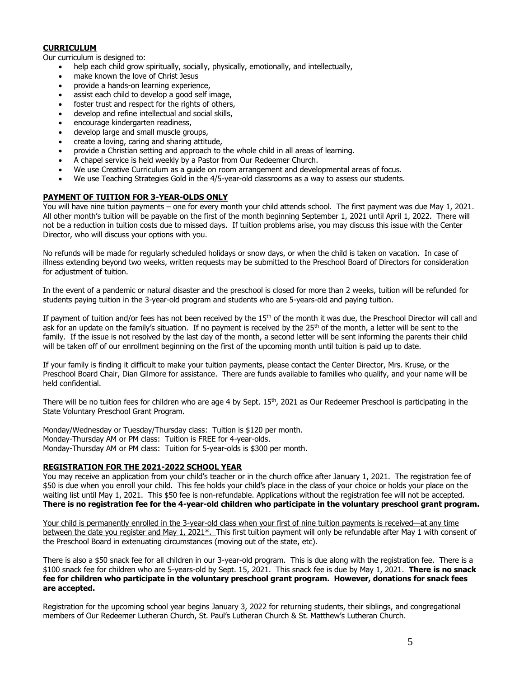## **CURRICULUM**

Our curriculum is designed to:

- help each child grow spiritually, socially, physically, emotionally, and intellectually,
- make known the love of Christ Jesus
- provide a hands-on learning experience,
- assist each child to develop a good self image,
- foster trust and respect for the rights of others,
- develop and refine intellectual and social skills,
- encourage kindergarten readiness,
- develop large and small muscle groups,
- create a loving, caring and sharing attitude,
- provide a Christian setting and approach to the whole child in all areas of learning.
- A chapel service is held weekly by a Pastor from Our Redeemer Church.
- We use Creative Curriculum as a guide on room arrangement and developmental areas of focus.
- We use Teaching Strategies Gold in the 4/5-year-old classrooms as a way to assess our students.

### **PAYMENT OF TUITION FOR 3-YEAR-OLDS ONLY**

You will have nine tuition payments – one for every month your child attends school. The first payment was due May 1, 2021. All other month's tuition will be payable on the first of the month beginning September 1, 2021 until April 1, 2022. There will not be a reduction in tuition costs due to missed days. If tuition problems arise, you may discuss this issue with the Center Director, who will discuss your options with you.

No refunds will be made for regularly scheduled holidays or snow days, or when the child is taken on vacation. In case of illness extending beyond two weeks, written requests may be submitted to the Preschool Board of Directors for consideration for adjustment of tuition.

In the event of a pandemic or natural disaster and the preschool is closed for more than 2 weeks, tuition will be refunded for students paying tuition in the 3-year-old program and students who are 5-years-old and paying tuition.

If payment of tuition and/or fees has not been received by the  $15<sup>th</sup>$  of the month it was due, the Preschool Director will call and ask for an update on the family's situation. If no payment is received by the  $25<sup>th</sup>$  of the month, a letter will be sent to the family. If the issue is not resolved by the last day of the month, a second letter will be sent informing the parents their child will be taken off of our enrollment beginning on the first of the upcoming month until tuition is paid up to date.

If your family is finding it difficult to make your tuition payments, please contact the Center Director, Mrs. Kruse, or the Preschool Board Chair, Dian Gilmore for assistance. There are funds available to families who qualify, and your name will be held confidential.

There will be no tuition fees for children who are age 4 by Sept. 15<sup>th</sup>, 2021 as Our Redeemer Preschool is participating in the State Voluntary Preschool Grant Program.

Monday/Wednesday or Tuesday/Thursday class: Tuition is \$120 per month. Monday-Thursday AM or PM class: Tuition is FREE for 4-year-olds. Monday-Thursday AM or PM class: Tuition for 5-year-olds is \$300 per month.

## **REGISTRATION FOR THE 2021-2022 SCHOOL YEAR**

You may receive an application from your child's teacher or in the church office after January 1, 2021. The registration fee of \$50 is due when you enroll your child. This fee holds your child's place in the class of your choice or holds your place on the waiting list until May 1, 2021. This \$50 fee is non-refundable. Applications without the registration fee will not be accepted. **There is no registration fee for the 4-year-old children who participate in the voluntary preschool grant program.**

Your child is permanently enrolled in the 3-year-old class when your first of nine tuition payments is received—at any time between the date you register and May 1, 2021\*. This first tuition payment will only be refundable after May 1 with consent of the Preschool Board in extenuating circumstances (moving out of the state, etc).

There is also a \$50 snack fee for all children in our 3-year-old program. This is due along with the registration fee. There is a \$100 snack fee for children who are 5-years-old by Sept. 15, 2021. This snack fee is due by May 1, 2021. **There is no snack fee for children who participate in the voluntary preschool grant program. However, donations for snack fees are accepted.**

Registration for the upcoming school year begins January 3, 2022 for returning students, their siblings, and congregational members of Our Redeemer Lutheran Church, St. Paul's Lutheran Church & St. Matthew's Lutheran Church.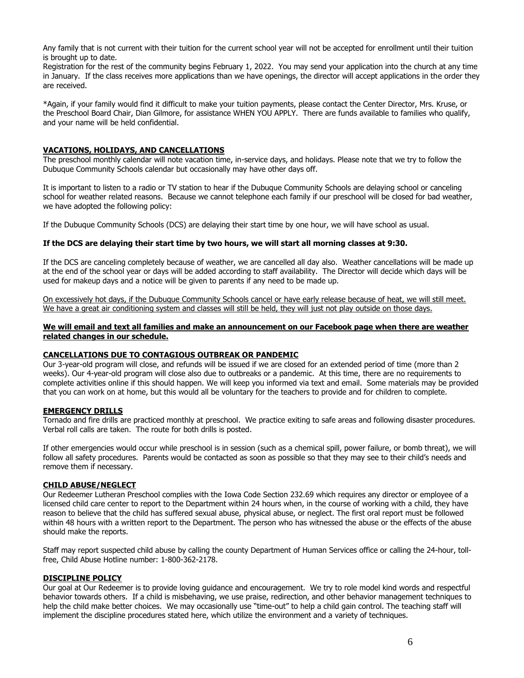Any family that is not current with their tuition for the current school year will not be accepted for enrollment until their tuition is brought up to date.

Registration for the rest of the community begins February 1, 2022. You may send your application into the church at any time in January. If the class receives more applications than we have openings, the director will accept applications in the order they are received.

\*Again, if your family would find it difficult to make your tuition payments, please contact the Center Director, Mrs. Kruse, or the Preschool Board Chair, Dian Gilmore, for assistance WHEN YOU APPLY. There are funds available to families who qualify, and your name will be held confidential.

## **VACATIONS, HOLIDAYS, AND CANCELLATIONS**

The preschool monthly calendar will note vacation time, in-service days, and holidays. Please note that we try to follow the Dubuque Community Schools calendar but occasionally may have other days off.

It is important to listen to a radio or TV station to hear if the Dubuque Community Schools are delaying school or canceling school for weather related reasons. Because we cannot telephone each family if our preschool will be closed for bad weather, we have adopted the following policy:

If the Dubuque Community Schools (DCS) are delaying their start time by one hour, we will have school as usual.

#### **If the DCS are delaying their start time by two hours, we will start all morning classes at 9:30.**

If the DCS are canceling completely because of weather, we are cancelled all day also. Weather cancellations will be made up at the end of the school year or days will be added according to staff availability. The Director will decide which days will be used for makeup days and a notice will be given to parents if any need to be made up.

On excessively hot days, if the Dubuque Community Schools cancel or have early release because of heat, we will still meet. We have a great air conditioning system and classes will still be held, they will just not play outside on those days.

**We will email and text all families and make an announcement on our Facebook page when there are weather related changes in our schedule.**

## **CANCELLATIONS DUE TO CONTAGIOUS OUTBREAK OR PANDEMIC**

Our 3-year-old program will close, and refunds will be issued if we are closed for an extended period of time (more than 2 weeks). Our 4-year-old program will close also due to outbreaks or a pandemic. At this time, there are no requirements to complete activities online if this should happen. We will keep you informed via text and email. Some materials may be provided that you can work on at home, but this would all be voluntary for the teachers to provide and for children to complete.

## **EMERGENCY DRILLS**

Tornado and fire drills are practiced monthly at preschool. We practice exiting to safe areas and following disaster procedures. Verbal roll calls are taken. The route for both drills is posted.

If other emergencies would occur while preschool is in session (such as a chemical spill, power failure, or bomb threat), we will follow all safety procedures. Parents would be contacted as soon as possible so that they may see to their child's needs and remove them if necessary.

## **CHILD ABUSE/NEGLECT**

Our Redeemer Lutheran Preschool complies with the Iowa Code Section 232.69 which requires any director or employee of a licensed child care center to report to the Department within 24 hours when, in the course of working with a child, they have reason to believe that the child has suffered sexual abuse, physical abuse, or neglect. The first oral report must be followed within 48 hours with a written report to the Department. The person who has witnessed the abuse or the effects of the abuse should make the reports.

Staff may report suspected child abuse by calling the county Department of Human Services office or calling the 24-hour, tollfree, Child Abuse Hotline number: 1-800-362-2178.

#### **DISCIPLINE POLICY**

Our goal at Our Redeemer is to provide loving guidance and encouragement. We try to role model kind words and respectful behavior towards others. If a child is misbehaving, we use praise, redirection, and other behavior management techniques to help the child make better choices. We may occasionally use "time-out" to help a child gain control. The teaching staff will implement the discipline procedures stated here, which utilize the environment and a variety of techniques.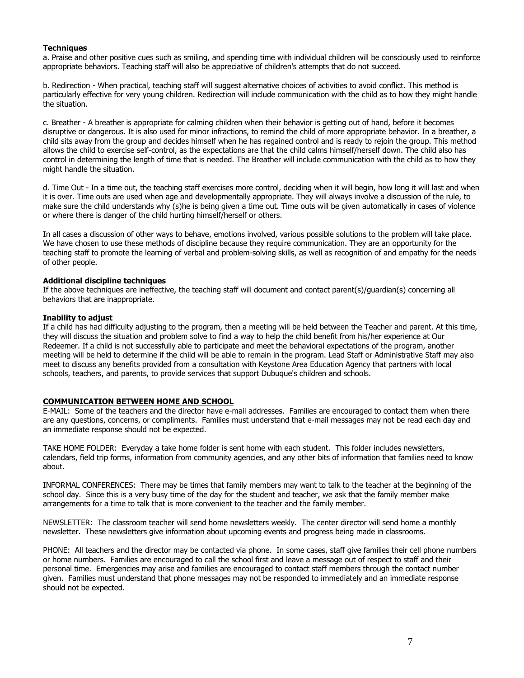#### **Techniques**

a. Praise and other positive cues such as smiling, and spending time with individual children will be consciously used to reinforce appropriate behaviors. Teaching staff will also be appreciative of children's attempts that do not succeed.

b. Redirection - When practical, teaching staff will suggest alternative choices of activities to avoid conflict. This method is particularly effective for very young children. Redirection will include communication with the child as to how they might handle the situation.

c. Breather - A breather is appropriate for calming children when their behavior is getting out of hand, before it becomes disruptive or dangerous. It is also used for minor infractions, to remind the child of more appropriate behavior. In a breather, a child sits away from the group and decides himself when he has regained control and is ready to rejoin the group. This method allows the child to exercise self-control, as the expectations are that the child calms himself/herself down. The child also has control in determining the length of time that is needed. The Breather will include communication with the child as to how they might handle the situation.

d. Time Out - In a time out, the teaching staff exercises more control, deciding when it will begin, how long it will last and when it is over. Time outs are used when age and developmentally appropriate. They will always involve a discussion of the rule, to make sure the child understands why (s)he is being given a time out. Time outs will be given automatically in cases of violence or where there is danger of the child hurting himself/herself or others.

In all cases a discussion of other ways to behave, emotions involved, various possible solutions to the problem will take place. We have chosen to use these methods of discipline because they require communication. They are an opportunity for the teaching staff to promote the learning of verbal and problem-solving skills, as well as recognition of and empathy for the needs of other people.

#### **Additional discipline techniques**

If the above techniques are ineffective, the teaching staff will document and contact parent(s)/guardian(s) concerning all behaviors that are inappropriate.

#### **Inability to adjust**

If a child has had difficulty adjusting to the program, then a meeting will be held between the Teacher and parent. At this time, they will discuss the situation and problem solve to find a way to help the child benefit from his/her experience at Our Redeemer. If a child is not successfully able to participate and meet the behavioral expectations of the program, another meeting will be held to determine if the child will be able to remain in the program. Lead Staff or Administrative Staff may also meet to discuss any benefits provided from a consultation with Keystone Area Education Agency that partners with local schools, teachers, and parents, to provide services that support Dubuque's children and schools.

#### **COMMUNICATION BETWEEN HOME AND SCHOOL**

E-MAIL: Some of the teachers and the director have e-mail addresses. Families are encouraged to contact them when there are any questions, concerns, or compliments. Families must understand that e-mail messages may not be read each day and an immediate response should not be expected.

TAKE HOME FOLDER: Everyday a take home folder is sent home with each student. This folder includes newsletters, calendars, field trip forms, information from community agencies, and any other bits of information that families need to know about.

INFORMAL CONFERENCES: There may be times that family members may want to talk to the teacher at the beginning of the school day. Since this is a very busy time of the day for the student and teacher, we ask that the family member make arrangements for a time to talk that is more convenient to the teacher and the family member.

NEWSLETTER: The classroom teacher will send home newsletters weekly. The center director will send home a monthly newsletter. These newsletters give information about upcoming events and progress being made in classrooms.

PHONE: All teachers and the director may be contacted via phone. In some cases, staff give families their cell phone numbers or home numbers. Families are encouraged to call the school first and leave a message out of respect to staff and their personal time. Emergencies may arise and families are encouraged to contact staff members through the contact number given. Families must understand that phone messages may not be responded to immediately and an immediate response should not be expected.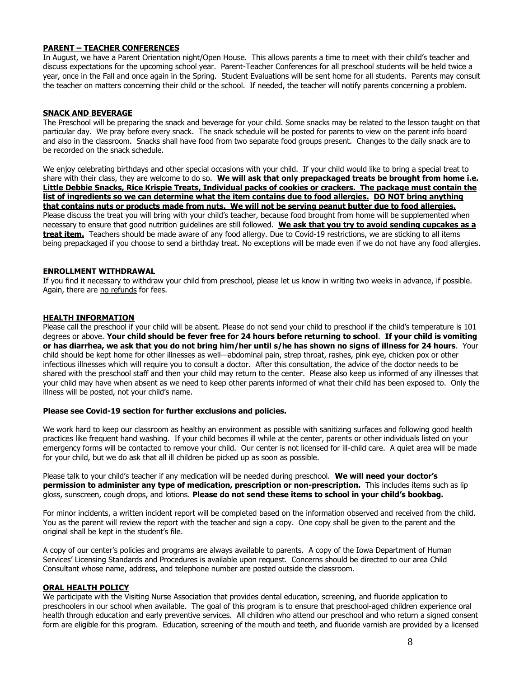## **PARENT – TEACHER CONFERENCES**

In August, we have a Parent Orientation night/Open House. This allows parents a time to meet with their child's teacher and discuss expectations for the upcoming school year. Parent-Teacher Conferences for all preschool students will be held twice a year, once in the Fall and once again in the Spring. Student Evaluations will be sent home for all students. Parents may consult the teacher on matters concerning their child or the school. If needed, the teacher will notify parents concerning a problem.

#### **SNACK AND BEVERAGE**

The Preschool will be preparing the snack and beverage for your child. Some snacks may be related to the lesson taught on that particular day. We pray before every snack. The snack schedule will be posted for parents to view on the parent info board and also in the classroom. Snacks shall have food from two separate food groups present. Changes to the daily snack are to be recorded on the snack schedule.

We enjoy celebrating birthdays and other special occasions with your child. If your child would like to bring a special treat to share with their class, they are welcome to do so. **We will ask that only prepackaged treats be brought from home i.e. Little Debbie Snacks, Rice Krispie Treats, Individual packs of cookies or crackers. The package must contain the list of ingredients so we can determine what the item contains due to food allergies. DO NOT bring anything that contains nuts or products made from nuts. We will not be serving peanut butter due to food allergies.**  Please discuss the treat you will bring with your child's teacher, because food brought from home will be supplemented when necessary to ensure that good nutrition guidelines are still followed. **We ask that you try to avoid sending cupcakes as a treat item.** Teachers should be made aware of any food allergy. Due to Covid-19 restrictions, we are sticking to all items being prepackaged if you choose to send a birthday treat. No exceptions will be made even if we do not have any food allergies.

#### **ENROLLMENT WITHDRAWAL**

If you find it necessary to withdraw your child from preschool, please let us know in writing two weeks in advance, if possible. Again, there are no refunds for fees.

#### **HEALTH INFORMATION**

Please call the preschool if your child will be absent. Please do not send your child to preschool if the child's temperature is 101 degrees or above. **Your child should be fever free for 24 hours before returning to school**. **If your child is vomiting or has diarrhea, we ask that you do not bring him/her until s/he has shown no signs of illness for 24 hours**. Your child should be kept home for other illnesses as well—abdominal pain, strep throat, rashes, pink eye, chicken pox or other infectious illnesses which will require you to consult a doctor. After this consultation, the advice of the doctor needs to be shared with the preschool staff and then your child may return to the center. Please also keep us informed of any illnesses that your child may have when absent as we need to keep other parents informed of what their child has been exposed to. Only the illness will be posted, not your child's name.

#### **Please see Covid-19 section for further exclusions and policies.**

We work hard to keep our classroom as healthy an environment as possible with sanitizing surfaces and following good health practices like frequent hand washing. If your child becomes ill while at the center, parents or other individuals listed on your emergency forms will be contacted to remove your child. Our center is not licensed for ill-child care. A quiet area will be made for your child, but we do ask that all ill children be picked up as soon as possible.

Please talk to your child's teacher if any medication will be needed during preschool. **We will need your doctor's permission to administer any type of medication, prescription or non-prescription.** This includes items such as lip gloss, sunscreen, cough drops, and lotions. **Please do not send these items to school in your child's bookbag.**

For minor incidents, a written incident report will be completed based on the information observed and received from the child. You as the parent will review the report with the teacher and sign a copy. One copy shall be given to the parent and the original shall be kept in the student's file.

A copy of our center's policies and programs are always available to parents. A copy of the Iowa Department of Human Services' Licensing Standards and Procedures is available upon request. Concerns should be directed to our area Child Consultant whose name, address, and telephone number are posted outside the classroom.

#### **ORAL HEALTH POLICY**

We participate with the Visiting Nurse Association that provides dental education, screening, and fluoride application to preschoolers in our school when available. The goal of this program is to ensure that preschool-aged children experience oral health through education and early preventive services. All children who attend our preschool and who return a signed consent form are eligible for this program. Education, screening of the mouth and teeth, and fluoride varnish are provided by a licensed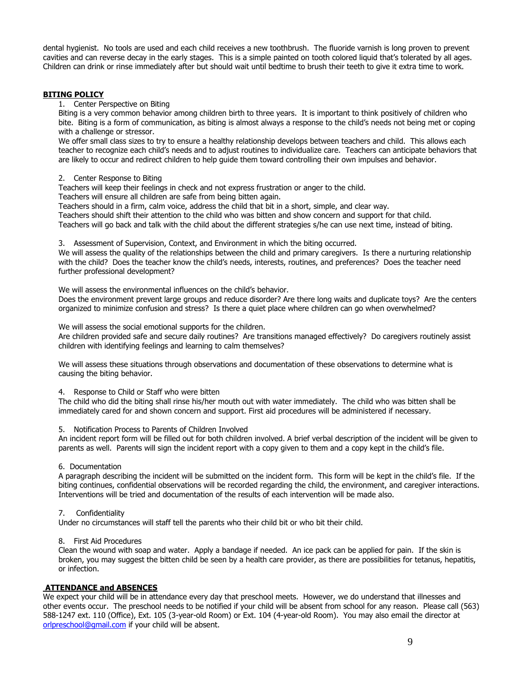dental hygienist. No tools are used and each child receives a new toothbrush. The fluoride varnish is long proven to prevent cavities and can reverse decay in the early stages. This is a simple painted on tooth colored liquid that's tolerated by all ages. Children can drink or rinse immediately after but should wait until bedtime to brush their teeth to give it extra time to work.

#### **BITING POLICY**

#### 1. Center Perspective on Biting

Biting is a very common behavior among children birth to three years. It is important to think positively of children who bite. Biting is a form of communication, as biting is almost always a response to the child's needs not being met or coping with a challenge or stressor.

We offer small class sizes to try to ensure a healthy relationship develops between teachers and child. This allows each teacher to recognize each child's needs and to adjust routines to individualize care. Teachers can anticipate behaviors that are likely to occur and redirect children to help guide them toward controlling their own impulses and behavior.

#### 2. Center Response to Biting

Teachers will keep their feelings in check and not express frustration or anger to the child.

Teachers will ensure all children are safe from being bitten again.

Teachers should in a firm, calm voice, address the child that bit in a short, simple, and clear way.

Teachers should shift their attention to the child who was bitten and show concern and support for that child.

Teachers will go back and talk with the child about the different strategies s/he can use next time, instead of biting.

3. Assessment of Supervision, Context, and Environment in which the biting occurred.

We will assess the quality of the relationships between the child and primary caregivers. Is there a nurturing relationship with the child? Does the teacher know the child's needs, interests, routines, and preferences? Does the teacher need further professional development?

We will assess the environmental influences on the child's behavior.

Does the environment prevent large groups and reduce disorder? Are there long waits and duplicate toys? Are the centers organized to minimize confusion and stress? Is there a quiet place where children can go when overwhelmed?

We will assess the social emotional supports for the children.

Are children provided safe and secure daily routines? Are transitions managed effectively? Do caregivers routinely assist children with identifying feelings and learning to calm themselves?

We will assess these situations through observations and documentation of these observations to determine what is causing the biting behavior.

4. Response to Child or Staff who were bitten

The child who did the biting shall rinse his/her mouth out with water immediately. The child who was bitten shall be immediately cared for and shown concern and support. First aid procedures will be administered if necessary.

5. Notification Process to Parents of Children Involved

An incident report form will be filled out for both children involved. A brief verbal description of the incident will be given to parents as well. Parents will sign the incident report with a copy given to them and a copy kept in the child's file.

#### 6. Documentation

A paragraph describing the incident will be submitted on the incident form. This form will be kept in the child's file. If the biting continues, confidential observations will be recorded regarding the child, the environment, and caregiver interactions. Interventions will be tried and documentation of the results of each intervention will be made also.

#### 7. Confidentiality

Under no circumstances will staff tell the parents who their child bit or who bit their child.

#### 8. First Aid Procedures

Clean the wound with soap and water. Apply a bandage if needed. An ice pack can be applied for pain. If the skin is broken, you may suggest the bitten child be seen by a health care provider, as there are possibilities for tetanus, hepatitis, or infection.

## **ATTENDANCE and ABSENCES**

We expect your child will be in attendance every day that preschool meets. However, we do understand that illnesses and other events occur. The preschool needs to be notified if your child will be absent from school for any reason. Please call (563) 588-1247 ext. 110 (Office), Ext. 105 (3-year-old Room) or Ext. 104 (4-year-old Room). You may also email the director at [orlpreschool@gmail.com](mailto:orlpreschool@gmail.com) if your child will be absent.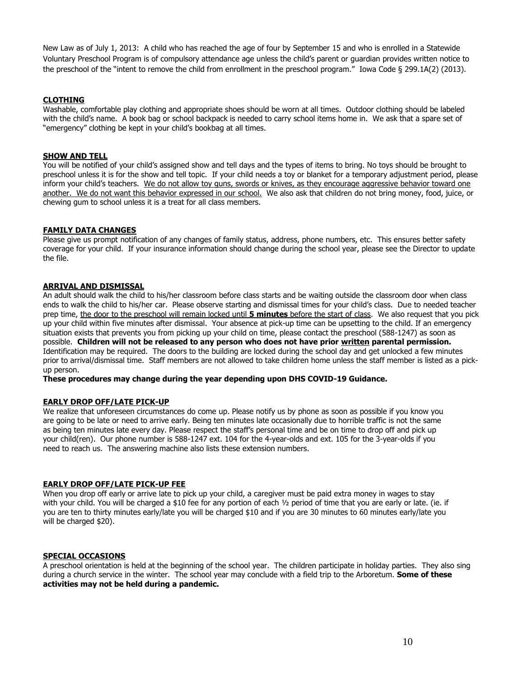New Law as of July 1, 2013: A child who has reached the age of four by September 15 and who is enrolled in a Statewide Voluntary Preschool Program is of compulsory attendance age unless the child's parent or guardian provides written notice to the preschool of the "intent to remove the child from enrollment in the preschool program." Iowa Code § 299.1A(2) (2013).

## **CLOTHING**

Washable, comfortable play clothing and appropriate shoes should be worn at all times. Outdoor clothing should be labeled with the child's name. A book bag or school backpack is needed to carry school items home in. We ask that a spare set of "emergency" clothing be kept in your child's bookbag at all times.

## **SHOW AND TELL**

You will be notified of your child's assigned show and tell days and the types of items to bring. No toys should be brought to preschool unless it is for the show and tell topic. If your child needs a toy or blanket for a temporary adjustment period, please inform your child's teachers. We do not allow toy guns, swords or knives, as they encourage aggressive behavior toward one another. We do not want this behavior expressed in our school. We also ask that children do not bring money, food, juice, or chewing gum to school unless it is a treat for all class members.

#### **FAMILY DATA CHANGES**

Please give us prompt notification of any changes of family status, address, phone numbers, etc. This ensures better safety coverage for your child. If your insurance information should change during the school year, please see the Director to update the file.

#### **ARRIVAL AND DISMISSAL**

An adult should walk the child to his/her classroom before class starts and be waiting outside the classroom door when class ends to walk the child to his/her car. Please observe starting and dismissal times for your child's class. Due to needed teacher prep time, the door to the preschool will remain locked until **5 minutes** before the start of class. We also request that you pick up your child within five minutes after dismissal. Your absence at pick-up time can be upsetting to the child. If an emergency situation exists that prevents you from picking up your child on time, please contact the preschool (588-1247) as soon as possible. **Children will not be released to any person who does not have prior written parental permission.** Identification may be required. The doors to the building are locked during the school day and get unlocked a few minutes prior to arrival/dismissal time. Staff members are not allowed to take children home unless the staff member is listed as a pickup person.

**These procedures may change during the year depending upon DHS COVID-19 Guidance.**

#### **EARLY DROP OFF/LATE PICK-UP**

We realize that unforeseen circumstances do come up. Please notify us by phone as soon as possible if you know you are going to be late or need to arrive early. Being ten minutes late occasionally due to horrible traffic is not the same as being ten minutes late every day. Please respect the staff's personal time and be on time to drop off and pick up your child(ren). Our phone number is 588-1247 ext. 104 for the 4-year-olds and ext. 105 for the 3-year-olds if you need to reach us. The answering machine also lists these extension numbers.

#### **EARLY DROP OFF/LATE PICK-UP FEE**

When you drop off early or arrive late to pick up your child, a caregiver must be paid extra money in wages to stay with your child. You will be charged a \$10 fee for any portion of each 1/2 period of time that you are early or late. (ie. if you are ten to thirty minutes early/late you will be charged \$10 and if you are 30 minutes to 60 minutes early/late you will be charged \$20).

#### **SPECIAL OCCASIONS**

A preschool orientation is held at the beginning of the school year. The children participate in holiday parties. They also sing during a church service in the winter. The school year may conclude with a field trip to the Arboretum. **Some of these activities may not be held during a pandemic.**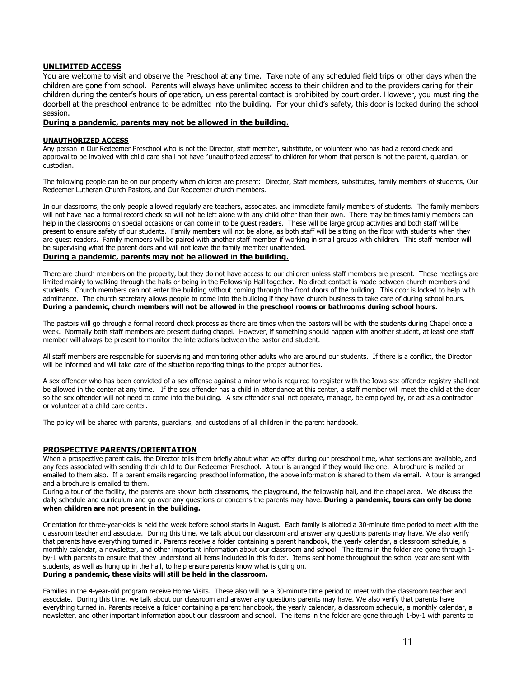#### **UNLIMITED ACCESS**

You are welcome to visit and observe the Preschool at any time. Take note of any scheduled field trips or other days when the children are gone from school. Parents will always have unlimited access to their children and to the providers caring for their children during the center's hours of operation, unless parental contact is prohibited by court order. However, you must ring the doorbell at the preschool entrance to be admitted into the building. For your child's safety, this door is locked during the school session.

#### **During a pandemic, parents may not be allowed in the building.**

#### **UNAUTHORIZED ACCESS**

Any person in Our Redeemer Preschool who is not the Director, staff member, substitute, or volunteer who has had a record check and approval to be involved with child care shall not have "unauthorized access" to children for whom that person is not the parent, quardian, or custodian.

The following people can be on our property when children are present: Director, Staff members, substitutes, family members of students, Our Redeemer Lutheran Church Pastors, and Our Redeemer church members.

In our classrooms, the only people allowed regularly are teachers, associates, and immediate family members of students. The family members will not have had a formal record check so will not be left alone with any child other than their own. There may be times family members can help in the classrooms on special occasions or can come in to be guest readers. These will be large group activities and both staff will be present to ensure safety of our students. Family members will not be alone, as both staff will be sitting on the floor with students when they are guest readers. Family members will be paired with another staff member if working in small groups with children. This staff member will be supervising what the parent does and will not leave the family member unattended.

## **During a pandemic, parents may not be allowed in the building.**

There are church members on the property, but they do not have access to our children unless staff members are present. These meetings are limited mainly to walking through the halls or being in the Fellowship Hall together. No direct contact is made between church members and students. Church members can not enter the building without coming through the front doors of the building. This door is locked to help with admittance. The church secretary allows people to come into the building if they have church business to take care of during school hours. **During a pandemic, church members will not be allowed in the preschool rooms or bathrooms during school hours.**

The pastors will go through a formal record check process as there are times when the pastors will be with the students during Chapel once a week. Normally both staff members are present during chapel. However, if something should happen with another student, at least one staff member will always be present to monitor the interactions between the pastor and student.

All staff members are responsible for supervising and monitoring other adults who are around our students. If there is a conflict, the Director will be informed and will take care of the situation reporting things to the proper authorities.

A sex offender who has been convicted of a sex offense against a minor who is required to register with the Iowa sex offender registry shall not be allowed in the center at any time. If the sex offender has a child in attendance at this center, a staff member will meet the child at the door so the sex offender will not need to come into the building. A sex offender shall not operate, manage, be employed by, or act as a contractor or volunteer at a child care center.

The policy will be shared with parents, guardians, and custodians of all children in the parent handbook.

#### **PROSPECTIVE PARENTS/ORIENTATION**

When a prospective parent calls, the Director tells them briefly about what we offer during our preschool time, what sections are available, and any fees associated with sending their child to Our Redeemer Preschool. A tour is arranged if they would like one. A brochure is mailed or emailed to them also. If a parent emails regarding preschool information, the above information is shared to them via email. A tour is arranged and a brochure is emailed to them.

During a tour of the facility, the parents are shown both classrooms, the playground, the fellowship hall, and the chapel area. We discuss the daily schedule and curriculum and go over any questions or concerns the parents may have. **During a pandemic, tours can only be done when children are not present in the building.**

Orientation for three-year-olds is held the week before school starts in August. Each family is allotted a 30-minute time period to meet with the classroom teacher and associate. During this time, we talk about our classroom and answer any questions parents may have. We also verify that parents have everything turned in. Parents receive a folder containing a parent handbook, the yearly calendar, a classroom schedule, a monthly calendar, a newsletter, and other important information about our classroom and school. The items in the folder are gone through 1 by-1 with parents to ensure that they understand all items included in this folder. Items sent home throughout the school year are sent with students, as well as hung up in the hall, to help ensure parents know what is going on. **During a pandemic, these visits will still be held in the classroom.**

Families in the 4-year-old program receive Home Visits. These also will be a 30-minute time period to meet with the classroom teacher and associate. During this time, we talk about our classroom and answer any questions parents may have. We also verify that parents have everything turned in. Parents receive a folder containing a parent handbook, the yearly calendar, a classroom schedule, a monthly calendar, a newsletter, and other important information about our classroom and school. The items in the folder are gone through 1-by-1 with parents to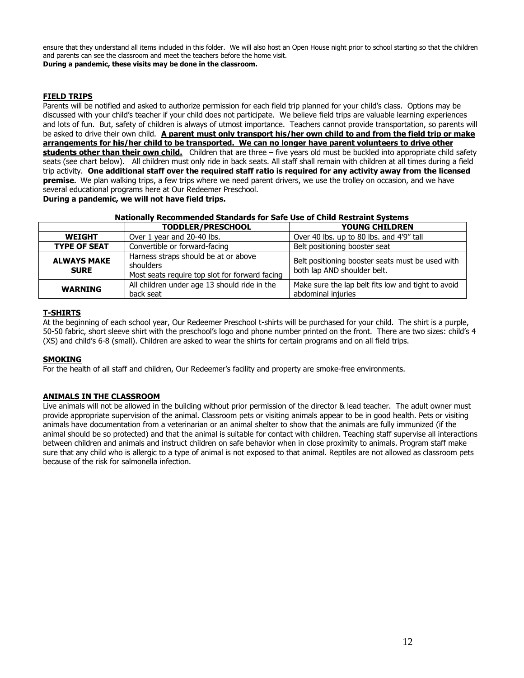ensure that they understand all items included in this folder. We will also host an Open House night prior to school starting so that the children and parents can see the classroom and meet the teachers before the home visit. **During a pandemic, these visits may be done in the classroom.**

## **FIELD TRIPS**

Parents will be notified and asked to authorize permission for each field trip planned for your child's class. Options may be discussed with your child's teacher if your child does not participate. We believe field trips are valuable learning experiences and lots of fun. But, safety of children is always of utmost importance. Teachers cannot provide transportation, so parents will be asked to drive their own child. **A parent must only transport his/her own child to and from the field trip or make arrangements for his/her child to be transported. We can no longer have parent volunteers to drive other students other than their own child.** Children that are three – five years old must be buckled into appropriate child safety seats (see chart below). All children must only ride in back seats. All staff shall remain with children at all times during a field trip activity. **One additional staff over the required staff ratio is required for any activity away from the licensed premise.** We plan walking trips, a few trips where we need parent drivers, we use the trolley on occasion, and we have several educational programs here at Our Redeemer Preschool.

**During a pandemic, we will not have field trips.**

#### **Nationally Recommended Standards for Safe Use of Child Restraint Systems**

|                                   | <b>TODDLER/PRESCHOOL</b>                                                                            | <b>YOUNG CHILDREN</b>                                                           |
|-----------------------------------|-----------------------------------------------------------------------------------------------------|---------------------------------------------------------------------------------|
| <b>WEIGHT</b>                     | Over 1 year and 20-40 lbs.                                                                          | Over 40 lbs. up to 80 lbs. and 4'9" tall                                        |
| <b>TYPE OF SEAT</b>               | Convertible or forward-facing                                                                       | Belt positioning booster seat                                                   |
| <b>ALWAYS MAKE</b><br><b>SURE</b> | Harness straps should be at or above<br>shoulders<br>Most seats require top slot for forward facing | Belt positioning booster seats must be used with<br>both lap AND shoulder belt. |
| <b>WARNING</b>                    | All children under age 13 should ride in the<br>back seat                                           | Make sure the lap belt fits low and tight to avoid<br>abdominal injuries        |

## **T-SHIRTS**

At the beginning of each school year, Our Redeemer Preschool t-shirts will be purchased for your child. The shirt is a purple, 50-50 fabric, short sleeve shirt with the preschool's logo and phone number printed on the front. There are two sizes: child's 4 (XS) and child's 6-8 (small). Children are asked to wear the shirts for certain programs and on all field trips.

## **SMOKING**

For the health of all staff and children, Our Redeemer's facility and property are smoke-free environments.

## **ANIMALS IN THE CLASSROOM**

Live animals will not be allowed in the building without prior permission of the director & lead teacher. The adult owner must provide appropriate supervision of the animal. Classroom pets or visiting animals appear to be in good health. Pets or visiting animals have documentation from a veterinarian or an animal shelter to show that the animals are fully immunized (if the animal should be so protected) and that the animal is suitable for contact with children. Teaching staff supervise all interactions between children and animals and instruct children on safe behavior when in close proximity to animals. Program staff make sure that any child who is allergic to a type of animal is not exposed to that animal. Reptiles are not allowed as classroom pets because of the risk for salmonella infection.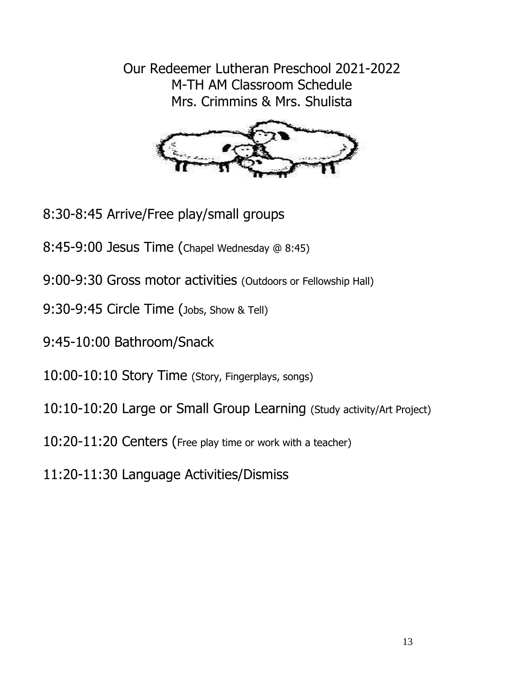Our Redeemer Lutheran Preschool 2021-2022 M-TH AM Classroom Schedule Mrs. Crimmins & Mrs. Shulista



- 8:30-8:45 Arrive/Free play/small groups
- 8:45-9:00 Jesus Time (Chapel Wednesday @ 8:45)
- 9:00-9:30 Gross motor activities (Outdoors or Fellowship Hall)
- 9:30-9:45 Circle Time (Jobs, Show & Tell)
- 9:45-10:00 Bathroom/Snack
- 10:00-10:10 Story Time (Story, Fingerplays, songs)
- 10:10-10:20 Large or Small Group Learning (Study activity/Art Project)
- 10:20-11:20 Centers (Free play time or work with a teacher)
- 11:20-11:30 Language Activities/Dismiss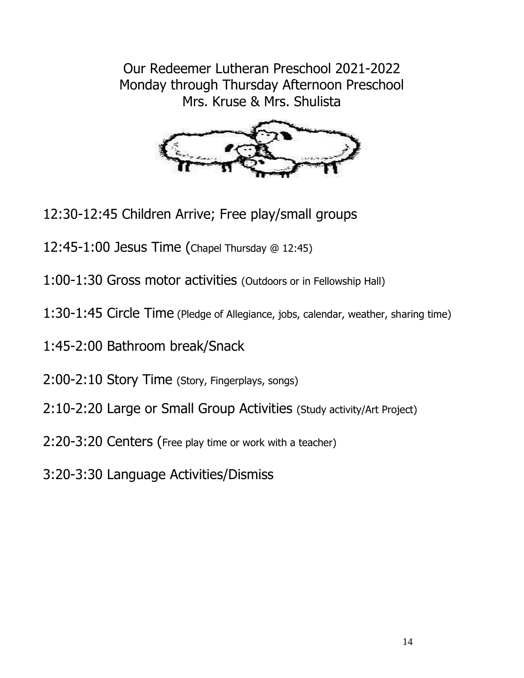Our Redeemer Lutheran Preschool 2021-2022 Monday through Thursday Afternoon Preschool Mrs. Kruse & Mrs. Shulista



- 12:30-12:45 Children Arrive; Free play/small groups
- 12:45-1:00 Jesus Time (Chapel Thursday @ 12:45)
- 1:00-1:30 Gross motor activities (Outdoors or in Fellowship Hall)
- 1:30-1:45 Circle Time (Pledge of Allegiance, jobs, calendar, weather, sharing time)
- 1:45-2:00 Bathroom break/Snack
- 2:00-2:10 Story Time (Story, Fingerplays, songs)
- 2:10-2:20 Large or Small Group Activities (Study activity/Art Project)
- 2:20-3:20 Centers (Free play time or work with a teacher)
- 3:20-3:30 Language Activities/Dismiss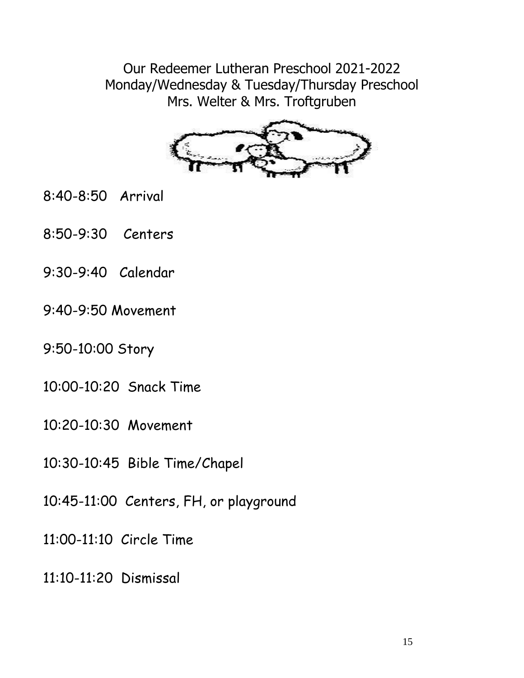Our Redeemer Lutheran Preschool 2021-2022 Monday/Wednesday & Tuesday/Thursday Preschool Mrs. Welter & Mrs. Troftgruben



- 8:40-8:50 Arrival
- 8:50-9:30 Centers
- 9:30-9:40 Calendar
- 9:40-9:50 Movement
- 9:50-10:00 Story
- 10:00-10:20 Snack Time
- 10:20-10:30 Movement
- 10:30-10:45 Bible Time/Chapel
- 10:45-11:00 Centers, FH, or playground
- 11:00-11:10 Circle Time
- 11:10-11:20 Dismissal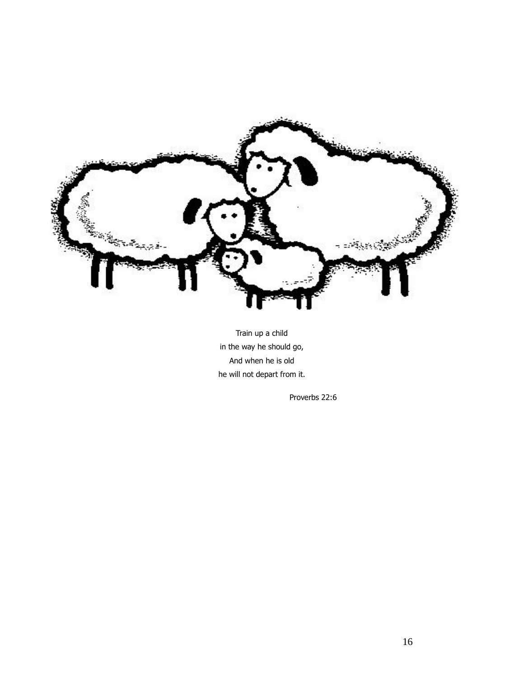

Train up a child in the way he should go, And when he is old he will not depart from it.

Proverbs 22:6